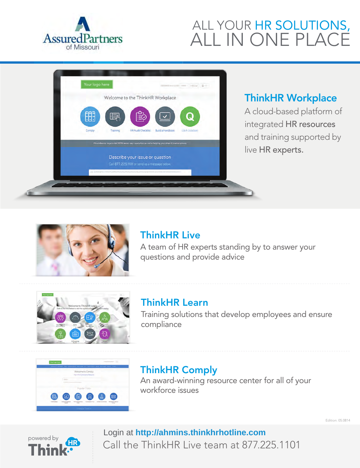

# ALL YOUR HR SOLUTIONS, ALL IN ONE PLACE



## ThinkHR Workplace

A cloud-based platform of integrated HR resources and training supported by live HR experts.



## ThinkHR Live

A team of HR experts standing by to answer your questions and provide advice



## ThinkHR Learn

Training solutions that develop employees and ensure compliance



# ThinkHR Comply

An award-winning resource center for all of your workforce issues



Call the ThinkHR Live team at 877.225.1101 Login at **http://ahmins.thinkhrhotline.com**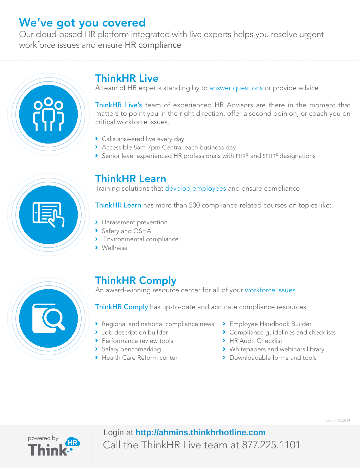# We've got you covered

Our cloud-based HR platform integrated with live experts helps you resolve urgent workforce issues and ensure HR compliance



# ThinkHR Live

A team of HR experts standing by to answer questions or provide advice

ThinkHR Live's team of experienced HR Advisors are there in the moment that matters to point you in the right direction, offer a second opinion, or coach you on critical workforce issues.

- > Calls answered live every day
- Accessible 8am-7pm Central each business day
- Senior level experienced HR professionals with PHR® and SPHR® designations



## ThinkHR Learn

Training solutions that develop employees and ensure compliance

ThinkHR Learn has more than 200 compliance-related courses on topics like:

- > Harassment prevention
- > Safety and OSHA
- **>** Environmental compliance
- **>** Wellness



# ThinkHR Comply

An award-winning resource center for all of your workforce issues

ThinkHR Comply has up-to-date and accurate compliance resources:

- **Regional and national compliance news**
- > Job description builder
- > Performance review tools
- > Salary benchmarking
- **>** Health Care Reform center
- Employee Handbook Builder
- **Compliance quidelines and checklists**
- **HR Audit Checklist**
- > Whitepapers and webinars library
- > Downloadable forms and tools

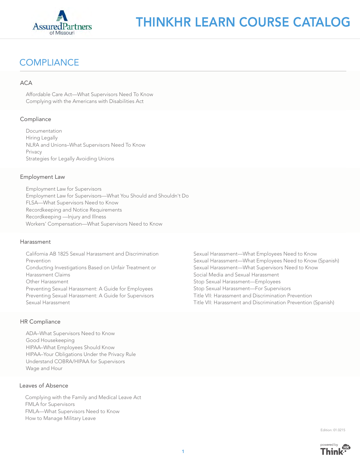

### **COMPLIANCE**

#### **ACA**

Affordable Care Act—What Supervisors Need To Know Complying with the Americans with Disabilities Act

#### **Compliance**

Documentation Hiring Legally NLRA and Unions–What Supervisors Need To Know Privacy Strategies for Legally Avoiding Unions

#### Employment Law

Employment Law for Supervisors Employment Law for Supervisors—What You Should and Shouldn't Do FLSA—What Supervisors Need to Know Recordkeeping and Notice Requirements Recordkeeping —Injury and Illness Workers' Compensation—What Supervisors Need to Know

#### Harassment

California AB 1825 Sexual Harassment and Discrimination Prevention Conducting Investigations Based on Unfair Treatment or Harassment Claims Other Harassment Preventing Sexual Harassment: A Guide for Employees Preventing Sexual Harassment: A Guide for Supervisors Sexual Harassment

#### HR Compliance

ADA–What Supervisors Need to Know Good Housekeeping HIPAA–What Employees Should Know HIPAA–Your Obligations Under the Privacy Rule Understand COBRA/HIPAA for Supervisors Wage and Hour

#### Leaves of Absence

Complying with the Family and Medical Leave Act FMLA for Supervisors FMLA—What Supervisors Need to Know How to Manage Military Leave

Sexual Harassment—What Employees Need to Know Sexual Harassment—What Employees Need to Know (Spanish) Sexual Harassment—What Supervisors Need to Know Social Media and Sexual Harassment Stop Sexual Harassment—Employees Stop Sexual Harassment—For Supervisors Title VII: Harassment and Discrimination Prevention Title VII: Harassment and Discrimination Prevention (Spanish)



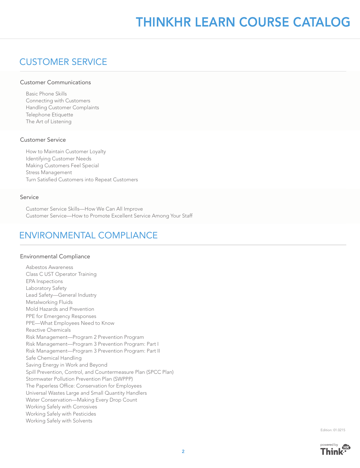# THINKHR LEARN COURSE CATALOG

### CUSTOMER SERVICE

#### Customer Communications

Basic Phone Skills Connecting with Customers Handling Customer Complaints Telephone Etiquette The Art of Listening

#### Customer Service

How to Maintain Customer Loyalty Identifying Customer Needs Making Customers Feel Special Stress Management Turn Satisfied Customers into Repeat Customers

#### Service

Customer Service Skills—How We Can All Improve Customer Service—How to Promote Excellent Service Among Your Staff

### ENVIRONMENTAL COMPLIANCE

#### Environmental Compliance

Asbestos Awareness Class C UST Operator Training EPA Inspections Laboratory Safety Lead Safety—General Industry Metalworking Fluids Mold Hazards and Prevention PPE for Emergency Responses PPE—What Employees Need to Know Reactive Chemicals Risk Management—Program 2 Prevention Program Risk Management—Program 3 Prevention Program: Part I Risk Management—Program 3 Prevention Program: Part II Safe Chemical Handling Saving Energy in Work and Beyond Spill Prevention, Control, and Countermeasure Plan (SPCC Plan) Stormwater Pollution Prevention Plan (SWPPP) The Paperless Office: Conservation for Employees Universal Wastes Large and Small Quantity Handlers Water Conservation—Making Every Drop Count Working Safely with Corrosives Working Safely with Pesticides Working Safely with Solvents

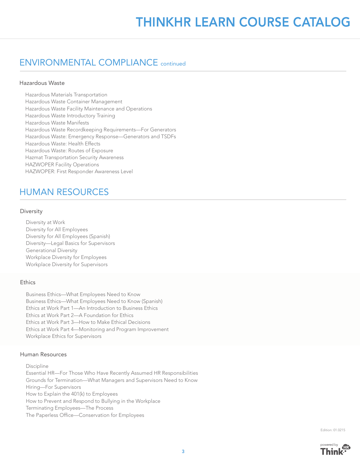### ENVIRONMENTAL COMPLIANCE continued

#### Hazardous Waste

Hazardous Materials Transportation Hazardous Waste Container Management Hazardous Waste Facility Maintenance and Operations Hazardous Waste Introductory Training Hazardous Waste Manifests Hazardous Waste Recordkeeping Requirements—For Generators Hazardous Waste: Emergency Response—Generators and TSDFs Hazardous Waste: Health Effects Hazardous Waste: Routes of Exposure Hazmat Transportation Security Awareness HAZWOPER Facility Operations HAZWOPER: First Responder Awareness Level

### HUMAN RESOURCES

#### Diversity

Diversity at Work Diversity for All Employees Diversity for All Employees (Spanish) Diversity—Legal Basics for Supervisors Generational Diversity Workplace Diversity for Employees Workplace Diversity for Supervisors

#### **Ethics**

Business Ethics—What Employees Need to Know Business Ethics—What Employees Need to Know (Spanish) Ethics at Work Part 1—An Introduction to Business Ethics Ethics at Work Part 2—A Foundation for Ethics Ethics at Work Part 3—How to Make Ethical Decisions Ethics at Work Part 4—Monitoring and Program Improvement Workplace Ethics for Supervisors

#### Human Resources

Discipline Essential HR—For Those Who Have Recently Assumed HR Responsibilities Grounds for Termination—What Managers and Supervisors Need to Know Hiring—For Supervisors How to Explain the 401(k) to Employees How to Prevent and Respond to Bullying in the Workplace Terminating Employees—The Process The Paperless Office—Conservation for Employees

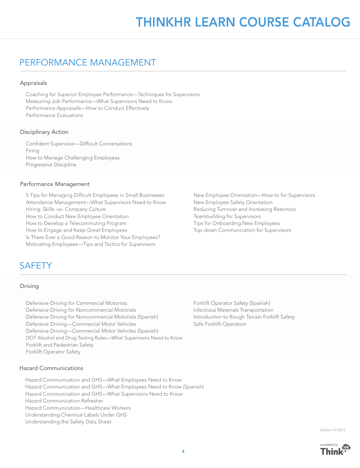### PERFORMANCE MANAGEMENT

#### Appraisals

Coaching for Superior Employee Performance—Techniques for Supervisors Measuring Job Performance—What Supervisors Need to Know Performance Appraisals—How to Conduct Effectively Performance Evaluations

#### Disciplinary Action

Confident Supervisor-Difficult Conversations Firing How to Manage Challenging Employees Progressive Discipline

#### Performance Management

5 Tips for Managing Difficult Employees in Small Businesses Attendance Management—What Supervisors Need to Know Hiring: Skills -vs- Company Culture How to Conduct New Employee Orientation How to Develop a Telecommuting Program How to Engage and Keep Great Employees Is There Ever a Good Reason to Monitor Your Employees? Motivating Employees—Tips and Tactics for Supervisors

### **SAFFTY**

#### Driving

Defensive Driving for Commercial Motorists Defensive Driving for Noncommercial Motorists Defensive Driving for Noncommercial Motorists (Spanish) Defensive Driving—Commercial Motor Vehicles Defensive Driving—Commercial Motor Vehicles (Spanish) DOT Alcohol and Drug Testing Rules—What Supervisors Need to Know Forklift and Pedestrian Safety Forklift Operator Safety

Hazard Communications

Hazard Communication and GHS—What Employees Need to Know Hazard Communication and GHS—What Employees Need to Know (Spanish) Hazard Communication and GHS—What Supervisors Need to Know Hazard Communication Refresher Hazard Communication—Healthcare Workers Understanding Chemical Labels Under GHS Understanding the Safety Data Sheet

New Employee Orientation—How-to for Supervisors New Employee Safety Orientation Reducing Turnover and Increasing Retention Teambuilding for Supervisors Tips for Onboarding New Employees Top-down Communication for Supervisors

Forklift Operator Safety (Spanish) Infectious Materials Transportation Introduction to Rough Terrain Forklift Safety Safe Forklift Operation

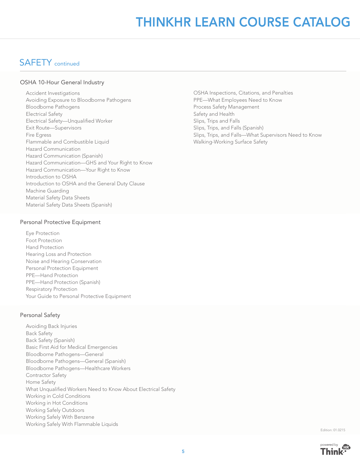# THINKHR LEARN COURSE CATALOG

### SAFETY continued

#### OSHA 10-Hour General Industry

Accident Investigations Avoiding Exposure to Bloodborne Pathogens Bloodborne Pathogens Electrical Safety Electrical Safety-Unqualified Worker Exit Route—Supervisors Fire Egress Flammable and Combustible Liquid Hazard Communication Hazard Communication (Spanish) Hazard Communication—GHS and Your Right to Know Hazard Communication—Your Right to Know Introduction to OSHA Introduction to OSHA and the General Duty Clause Machine Guarding Material Safety Data Sheets Material Safety Data Sheets (Spanish)

OSHA Inspections, Citations, and Penalties PPE—What Employees Need to Know Process Safety Management Safety and Health Slips, Trips and Falls Slips, Trips, and Falls (Spanish) Slips, Trips, and Falls—What Supervisors Need to Know Walking-Working Surface Safety

#### Personal Protective Equipment

Eye Protection Foot Protection Hand Protection Hearing Loss and Protection Noise and Hearing Conservation Personal Protection Equipment PPE—Hand Protection PPE—Hand Protection (Spanish) Respiratory Protection Your Guide to Personal Protective Equipment

#### Personal Safety

Avoiding Back Injuries Back Safety Back Safety (Spanish) Basic First Aid for Medical Emergencies Bloodborne Pathogens—General Bloodborne Pathogens—General (Spanish) Bloodborne Pathogens—Healthcare Workers Contractor Safety Home Safety What Unqualified Workers Need to Know About Electrical Safety Working in Cold Conditions Working in Hot Conditions Working Safely Outdoors Working Safely With Benzene Working Safely With Flammable Liquids

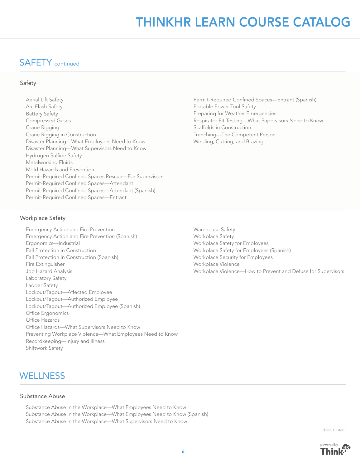# THINKHR LEARN COURSE CATALOG

### SAFETY continued

#### Safety

Aerial Lift Safety Arc Flash Safety Battery Safety Compressed Gases Crane Rigging Crane Rigging in Construction Disaster Planning—What Employees Need to Know Disaster Planning—What Supervisors Need to Know Hydrogen Sulfide Safety Metalworking Fluids Mold Hazards and Prevention Permit-Required Confined Spaces Rescue-For Supervisors Permit-Required Confined Spaces-Attendant Permit-Required Confined Spaces—Attendant (Spanish) Permit-Required Confined Spaces-Entrant

Permit-Required Confined Spaces—Entrant (Spanish) Portable Power Tool Safety Preparing for Weather Emergencies Respirator Fit Testing—What Supervisors Need to Know Scaffolds in Construction Trenching—The Competent Person Welding, Cutting, and Brazing

#### Workplace Safety

- Emergency Action and Fire Prevention Emergency Action and Fire Prevention (Spanish) Ergonomics—Industrial Fall Protection in Construction Fall Protection in Construction (Spanish) Fire Extinguisher Job Hazard Analysis Laboratory Safety Ladder Safety Lockout/Tagout—Affected Employee Lockout/Tagout—Authorized Employee Lockout/Tagout—Authorized Employee (Spanish) Office Ergonomics Office Hazards Office Hazards—What Supervisors Need to Know Preventing Workplace Violence—What Employees Need to Know Recordkeeping—Injury and Illness Shiftwork Safety
- Warehouse Safety Workplace Safety Workplace Safety for Employees Workplace Safety for Employees (Spanish) Workplace Security for Employees Workplace Violence Workplace Violence—How to Prevent and Defuse for Supervisors

### **WELLNESS**

#### Substance Abuse

Substance Abuse in the Workplace—What Employees Need to Know Substance Abuse in the Workplace—What Employees Need to Know (Spanish) Substance Abuse in the Workplace—What Supervisors Need to Know